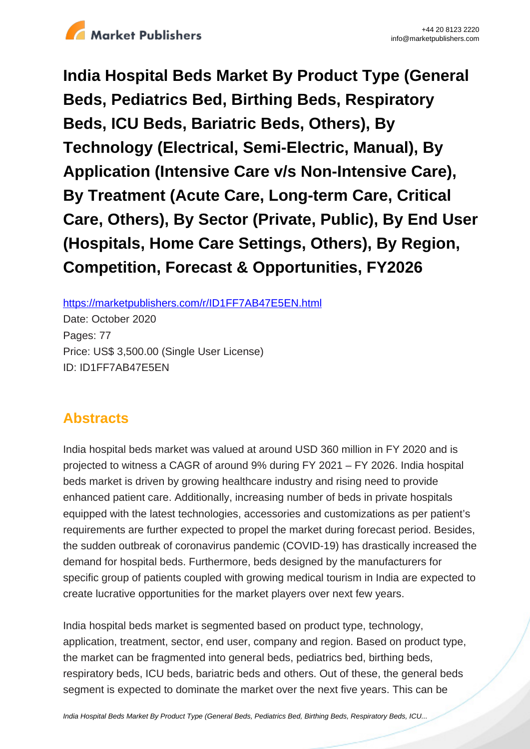

**India Hospital Beds Market By Product Type (General Beds, Pediatrics Bed, Birthing Beds, Respiratory Beds, ICU Beds, Bariatric Beds, Others), By Technology (Electrical, Semi-Electric, Manual), By Application (Intensive Care v/s Non-Intensive Care), By Treatment (Acute Care, Long-term Care, Critical Care, Others), By Sector (Private, Public), By End User (Hospitals, Home Care Settings, Others), By Region, Competition, Forecast & Opportunities, FY2026**

https://marketpublishers.com/r/ID1FF7AB47E5EN.html

Date: October 2020 Pages: 77 Price: US\$ 3,500.00 (Single User License) ID: ID1FF7AB47E5EN

# **Abstracts**

India hospital beds market was valued at around USD 360 million in FY 2020 and is projected to witness a CAGR of around 9% during FY 2021 – FY 2026. India hospital beds market is driven by growing healthcare industry and rising need to provide enhanced patient care. Additionally, increasing number of beds in private hospitals equipped with the latest technologies, accessories and customizations as per patient's requirements are further expected to propel the market during forecast period. Besides, the sudden outbreak of coronavirus pandemic (COVID-19) has drastically increased the demand for hospital beds. Furthermore, beds designed by the manufacturers for specific group of patients coupled with growing medical tourism in India are expected to create lucrative opportunities for the market players over next few years.

India hospital beds market is segmented based on product type, technology, application, treatment, sector, end user, company and region. Based on product type, the market can be fragmented into general beds, pediatrics bed, birthing beds, respiratory beds, ICU beds, bariatric beds and others. Out of these, the general beds segment is expected to dominate the market over the next five years. This can be

[India Hospital Beds Market By Product Type \(General Beds, Pediatrics Bed, Birthing Beds, Respiratory Beds, ICU...](https://marketpublishers.com/report/healthcare/hospital/india-hospital-beds-market-by-product-type-by-technology-by-application-by-treatment-by-sector-by-end-user-by-region-competition-forecast-opportunities.html)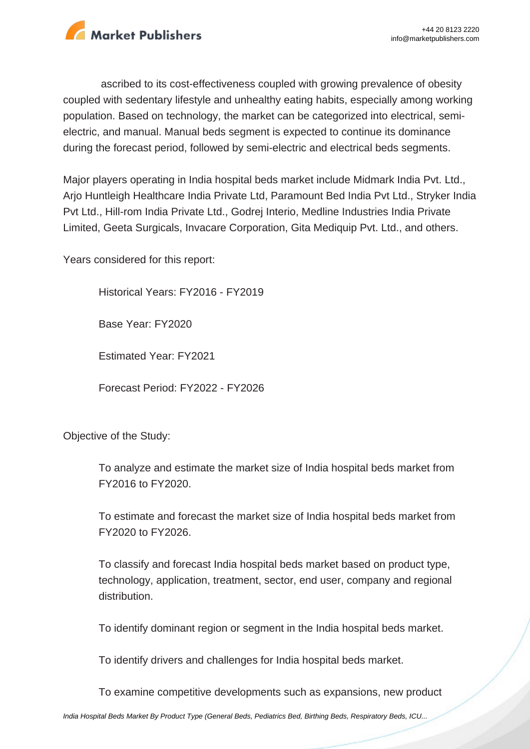

ascribed to its cost-effectiveness coupled with growing prevalence of obesity coupled with sedentary lifestyle and unhealthy eating habits, especially among working population. Based on technology, the market can be categorized into electrical, semielectric, and manual. Manual beds segment is expected to continue its dominance during the forecast period, followed by semi-electric and electrical beds segments.

Major players operating in India hospital beds market include Midmark India Pvt. Ltd., Arjo Huntleigh Healthcare India Private Ltd, Paramount Bed India Pvt Ltd., Stryker India Pvt Ltd., Hill-rom India Private Ltd., Godrej Interio, Medline Industries India Private Limited, Geeta Surgicals, Invacare Corporation, Gita Mediquip Pvt. Ltd., and others.

Years considered for this report:

Historical Years: FY2016 - FY2019

Base Year: FY2020

Estimated Year: FY2021

Forecast Period: FY2022 - FY2026

Objective of the Study:

To analyze and estimate the market size of India hospital beds market from FY2016 to FY2020.

To estimate and forecast the market size of India hospital beds market from FY2020 to FY2026.

To classify and forecast India hospital beds market based on product type, technology, application, treatment, sector, end user, company and regional distribution.

To identify dominant region or segment in the India hospital beds market.

To identify drivers and challenges for India hospital beds market.

To examine competitive developments such as expansions, new product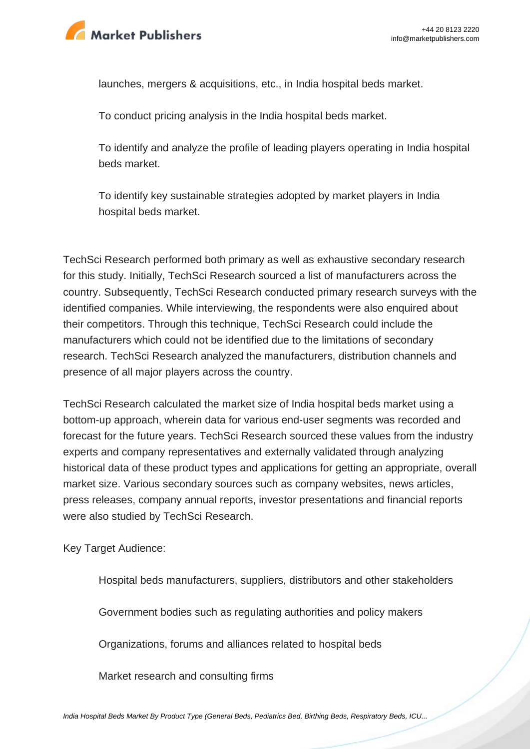

launches, mergers & acquisitions, etc., in India hospital beds market.

To conduct pricing analysis in the India hospital beds market.

To identify and analyze the profile of leading players operating in India hospital beds market.

To identify key sustainable strategies adopted by market players in India hospital beds market.

TechSci Research performed both primary as well as exhaustive secondary research for this study. Initially, TechSci Research sourced a list of manufacturers across the country. Subsequently, TechSci Research conducted primary research surveys with the identified companies. While interviewing, the respondents were also enquired about their competitors. Through this technique, TechSci Research could include the manufacturers which could not be identified due to the limitations of secondary research. TechSci Research analyzed the manufacturers, distribution channels and presence of all major players across the country.

TechSci Research calculated the market size of India hospital beds market using a bottom-up approach, wherein data for various end-user segments was recorded and forecast for the future years. TechSci Research sourced these values from the industry experts and company representatives and externally validated through analyzing historical data of these product types and applications for getting an appropriate, overall market size. Various secondary sources such as company websites, news articles, press releases, company annual reports, investor presentations and financial reports were also studied by TechSci Research.

Key Target Audience:

Hospital beds manufacturers, suppliers, distributors and other stakeholders

Government bodies such as regulating authorities and policy makers

Organizations, forums and alliances related to hospital beds

Market research and consulting firms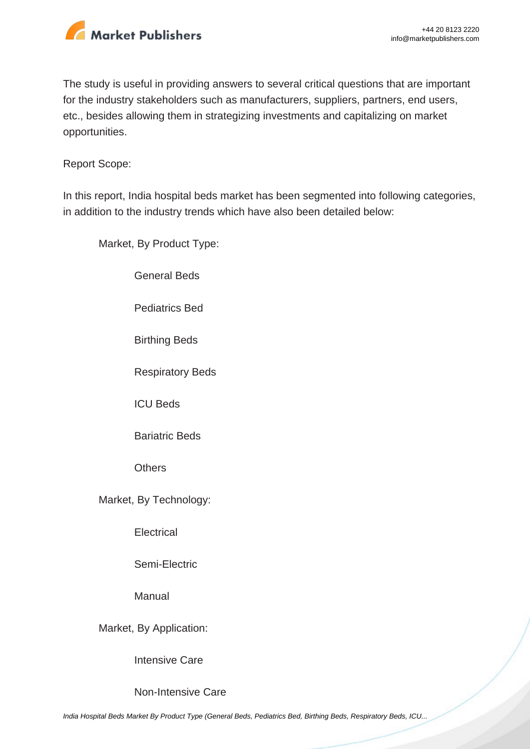

The study is useful in providing answers to several critical questions that are important for the industry stakeholders such as manufacturers, suppliers, partners, end users, etc., besides allowing them in strategizing investments and capitalizing on market opportunities.

Report Scope:

In this report, India hospital beds market has been segmented into following categories, in addition to the industry trends which have also been detailed below:

Market, By Product Type:

General Beds

Pediatrics Bed

Birthing Beds

Respiratory Beds

ICU Beds

Bariatric Beds

**Others** 

Market, By Technology:

**Electrical** 

Semi-Electric

Manual

Market, By Application:

Intensive Care

Non-Intensive Care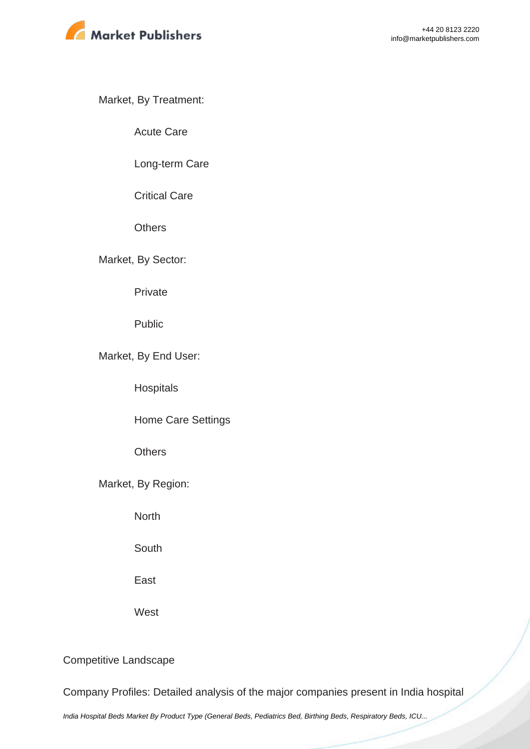

Market, By Treatment:

Acute Care

Long-term Care

Critical Care

**Others** 

Market, By Sector:

Private

Public

Market, By End User:

**Hospitals** 

Home Care Settings

**Others** 

Market, By Region:

**North** 

**South** 

East

**West** 

Competitive Landscape

Company Profiles: Detailed analysis of the major companies present in India hospital

[India Hospital Beds Market By Product Type \(General Beds, Pediatrics Bed, Birthing Beds, Respiratory Beds, ICU...](https://marketpublishers.com/report/healthcare/hospital/india-hospital-beds-market-by-product-type-by-technology-by-application-by-treatment-by-sector-by-end-user-by-region-competition-forecast-opportunities.html)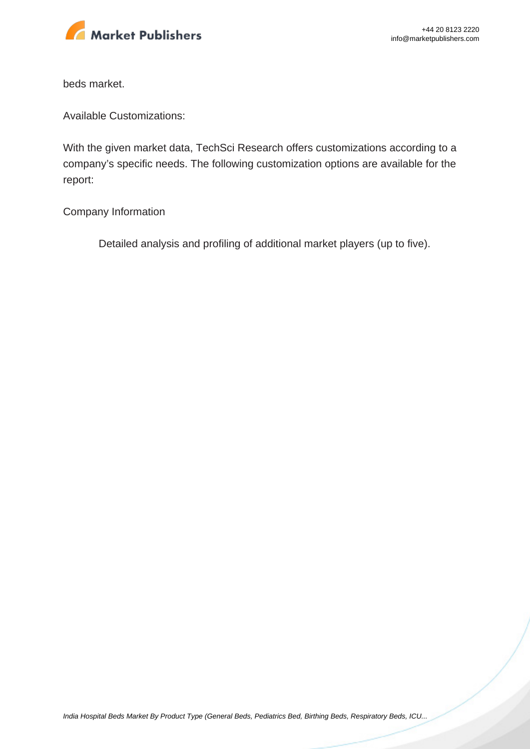

beds market.

Available Customizations:

With the given market data, TechSci Research offers customizations according to a company's specific needs. The following customization options are available for the report:

Company Information

Detailed analysis and profiling of additional market players (up to five).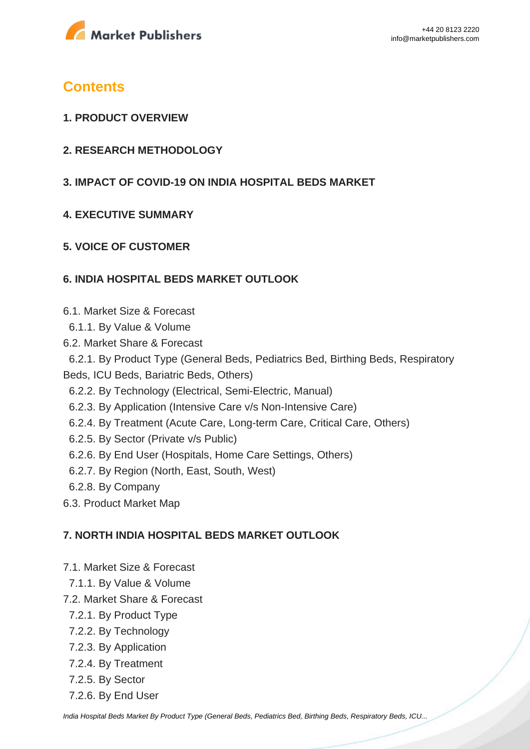

# **Contents**

- **1. PRODUCT OVERVIEW**
- **2. RESEARCH METHODOLOGY**
- **3. IMPACT OF COVID-19 ON INDIA HOSPITAL BEDS MARKET**
- **4. EXECUTIVE SUMMARY**

## **5. VOICE OF CUSTOMER**

## **6. INDIA HOSPITAL BEDS MARKET OUTLOOK**

- 6.1. Market Size & Forecast
- 6.1.1. By Value & Volume
- 6.2. Market Share & Forecast

 6.2.1. By Product Type (General Beds, Pediatrics Bed, Birthing Beds, Respiratory Beds, ICU Beds, Bariatric Beds, Others)

- 6.2.2. By Technology (Electrical, Semi-Electric, Manual)
- 6.2.3. By Application (Intensive Care v/s Non-Intensive Care)
- 6.2.4. By Treatment (Acute Care, Long-term Care, Critical Care, Others)
- 6.2.5. By Sector (Private v/s Public)
- 6.2.6. By End User (Hospitals, Home Care Settings, Others)
- 6.2.7. By Region (North, East, South, West)
- 6.2.8. By Company
- 6.3. Product Market Map

# **7. NORTH INDIA HOSPITAL BEDS MARKET OUTLOOK**

- 7.1. Market Size & Forecast
- 7.1.1. By Value & Volume
- 7.2. Market Share & Forecast
	- 7.2.1. By Product Type
	- 7.2.2. By Technology
	- 7.2.3. By Application
	- 7.2.4. By Treatment
	- 7.2.5. By Sector
	- 7.2.6. By End User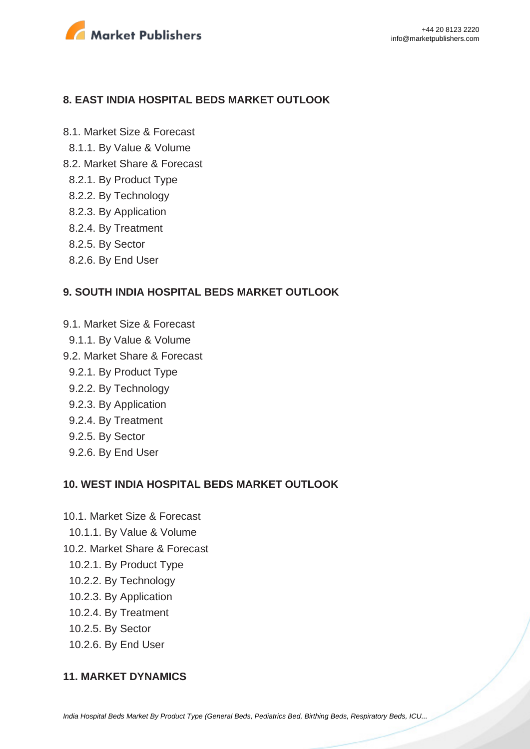

#### **8. EAST INDIA HOSPITAL BEDS MARKET OUTLOOK**

8.1. Market Size & Forecast 8.1.1. By Value & Volume

- 8.2. Market Share & Forecast
	- 8.2.1. By Product Type
	- 8.2.2. By Technology
	- 8.2.3. By Application
	- 8.2.4. By Treatment
	- 8.2.5. By Sector
	- 8.2.6. By End User

#### **9. SOUTH INDIA HOSPITAL BEDS MARKET OUTLOOK**

- 9.1. Market Size & Forecast
- 9.1.1. By Value & Volume
- 9.2. Market Share & Forecast
	- 9.2.1. By Product Type
	- 9.2.2. By Technology
	- 9.2.3. By Application
	- 9.2.4. By Treatment
	- 9.2.5. By Sector
	- 9.2.6. By End User

#### **10. WEST INDIA HOSPITAL BEDS MARKET OUTLOOK**

- 10.1. Market Size & Forecast
- 10.1.1. By Value & Volume
- 10.2. Market Share & Forecast
	- 10.2.1. By Product Type
	- 10.2.2. By Technology
	- 10.2.3. By Application
	- 10.2.4. By Treatment
	- 10.2.5. By Sector
	- 10.2.6. By End User

#### **11. MARKET DYNAMICS**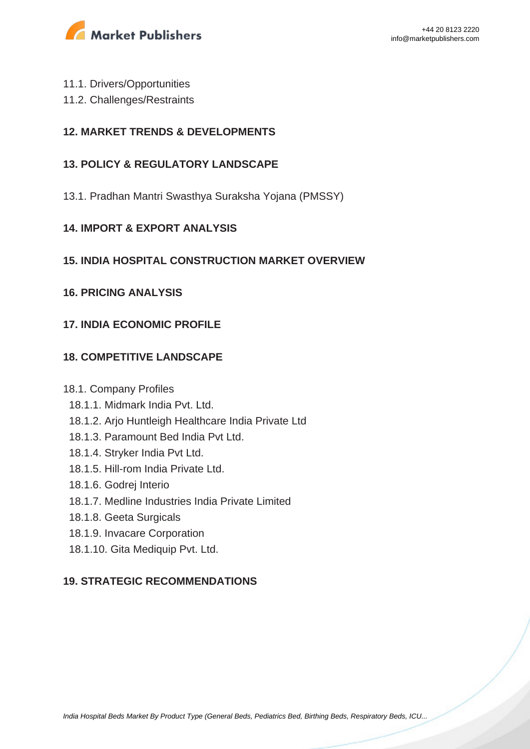

- 11.1. Drivers/Opportunities
- 11.2. Challenges/Restraints

## **12. MARKET TRENDS & DEVELOPMENTS**

## **13. POLICY & REGULATORY LANDSCAPE**

13.1. Pradhan Mantri Swasthya Suraksha Yojana (PMSSY)

#### **14. IMPORT & EXPORT ANALYSIS**

#### **15. INDIA HOSPITAL CONSTRUCTION MARKET OVERVIEW**

#### **16. PRICING ANALYSIS**

## **17. INDIA ECONOMIC PROFILE**

## **18. COMPETITIVE LANDSCAPE**

#### 18.1. Company Profiles

- 18.1.1. Midmark India Pvt. Ltd.
- 18.1.2. Arjo Huntleigh Healthcare India Private Ltd
- 18.1.3. Paramount Bed India Pvt Ltd.
- 18.1.4. Stryker India Pvt Ltd.
- 18.1.5. Hill-rom India Private Ltd.
- 18.1.6. Godrej Interio
- 18.1.7. Medline Industries India Private Limited
- 18.1.8. Geeta Surgicals
- 18.1.9. Invacare Corporation
- 18.1.10. Gita Mediquip Pvt. Ltd.

## **19. STRATEGIC RECOMMENDATIONS**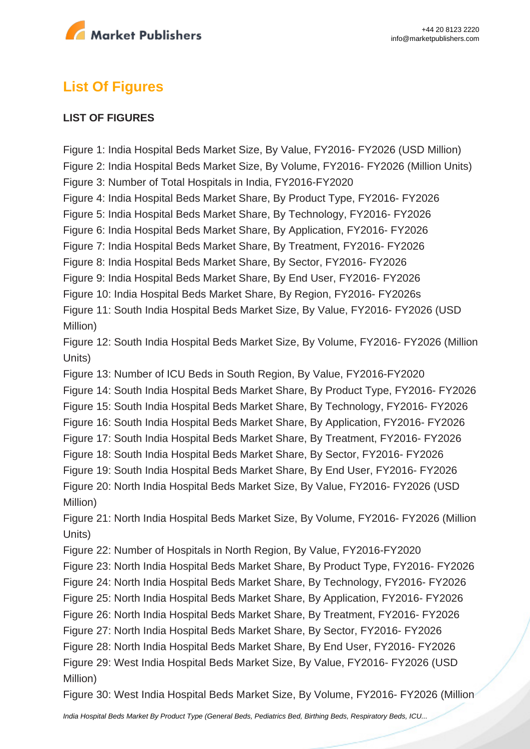

# **List Of Figures**

#### **LIST OF FIGURES**

Figure 1: India Hospital Beds Market Size, By Value, FY2016- FY2026 (USD Million) Figure 2: India Hospital Beds Market Size, By Volume, FY2016- FY2026 (Million Units) Figure 3: Number of Total Hospitals in India, FY2016-FY2020 Figure 4: India Hospital Beds Market Share, By Product Type, FY2016- FY2026 Figure 5: India Hospital Beds Market Share, By Technology, FY2016- FY2026 Figure 6: India Hospital Beds Market Share, By Application, FY2016- FY2026 Figure 7: India Hospital Beds Market Share, By Treatment, FY2016- FY2026 Figure 8: India Hospital Beds Market Share, By Sector, FY2016- FY2026 Figure 9: India Hospital Beds Market Share, By End User, FY2016- FY2026 Figure 10: India Hospital Beds Market Share, By Region, FY2016- FY2026s Figure 11: South India Hospital Beds Market Size, By Value, FY2016- FY2026 (USD Million) Figure 12: South India Hospital Beds Market Size, By Volume, FY2016- FY2026 (Million Units) Figure 13: Number of ICU Beds in South Region, By Value, FY2016-FY2020 Figure 14: South India Hospital Beds Market Share, By Product Type, FY2016- FY2026 Figure 15: South India Hospital Beds Market Share, By Technology, FY2016- FY2026 Figure 16: South India Hospital Beds Market Share, By Application, FY2016- FY2026 Figure 17: South India Hospital Beds Market Share, By Treatment, FY2016- FY2026 Figure 18: South India Hospital Beds Market Share, By Sector, FY2016- FY2026 Figure 19: South India Hospital Beds Market Share, By End User, FY2016- FY2026 Figure 20: North India Hospital Beds Market Size, By Value, FY2016- FY2026 (USD Million) Figure 21: North India Hospital Beds Market Size, By Volume, FY2016- FY2026 (Million Units) Figure 22: Number of Hospitals in North Region, By Value, FY2016-FY2020 Figure 23: North India Hospital Beds Market Share, By Product Type, FY2016- FY2026 Figure 24: North India Hospital Beds Market Share, By Technology, FY2016- FY2026 Figure 25: North India Hospital Beds Market Share, By Application, FY2016- FY2026 Figure 26: North India Hospital Beds Market Share, By Treatment, FY2016- FY2026 Figure 27: North India Hospital Beds Market Share, By Sector, FY2016- FY2026 Figure 28: North India Hospital Beds Market Share, By End User, FY2016- FY2026 Figure 29: West India Hospital Beds Market Size, By Value, FY2016- FY2026 (USD Million) Figure 30: West India Hospital Beds Market Size, By Volume, FY2016- FY2026 (Million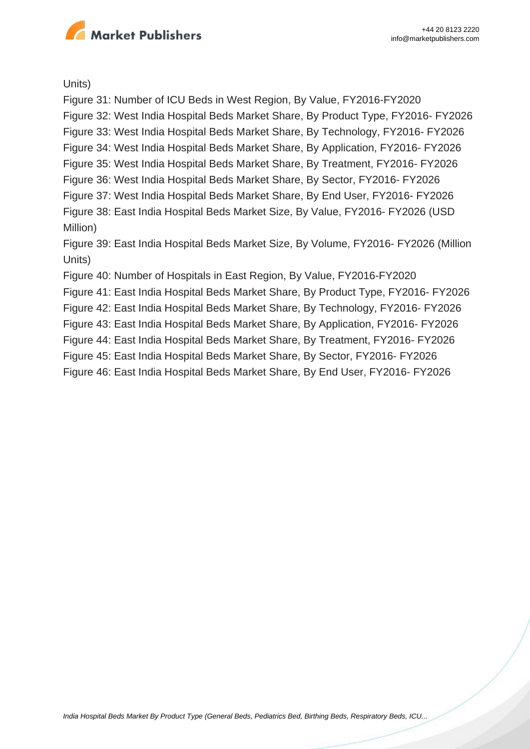

Units)

Figure 31: Number of ICU Beds in West Region, By Value, FY2016-FY2020 Figure 32: West India Hospital Beds Market Share, By Product Type, FY2016- FY2026 Figure 33: West India Hospital Beds Market Share, By Technology, FY2016- FY2026 Figure 34: West India Hospital Beds Market Share, By Application, FY2016- FY2026 Figure 35: West India Hospital Beds Market Share, By Treatment, FY2016- FY2026 Figure 36: West India Hospital Beds Market Share, By Sector, FY2016- FY2026 Figure 37: West India Hospital Beds Market Share, By End User, FY2016- FY2026 Figure 38: East India Hospital Beds Market Size, By Value, FY2016- FY2026 (USD Million) Figure 39: East India Hospital Beds Market Size, By Volume, FY2016- FY2026 (Million Units) Figure 40: Number of Hospitals in East Region, By Value, FY2016-FY2020 Figure 41: East India Hospital Beds Market Share, By Product Type, FY2016- FY2026 Figure 42: East India Hospital Beds Market Share, By Technology, FY2016- FY2026 Figure 43: East India Hospital Beds Market Share, By Application, FY2016- FY2026 Figure 44: East India Hospital Beds Market Share, By Treatment, FY2016- FY2026 Figure 45: East India Hospital Beds Market Share, By Sector, FY2016- FY2026 Figure 46: East India Hospital Beds Market Share, By End User, FY2016- FY2026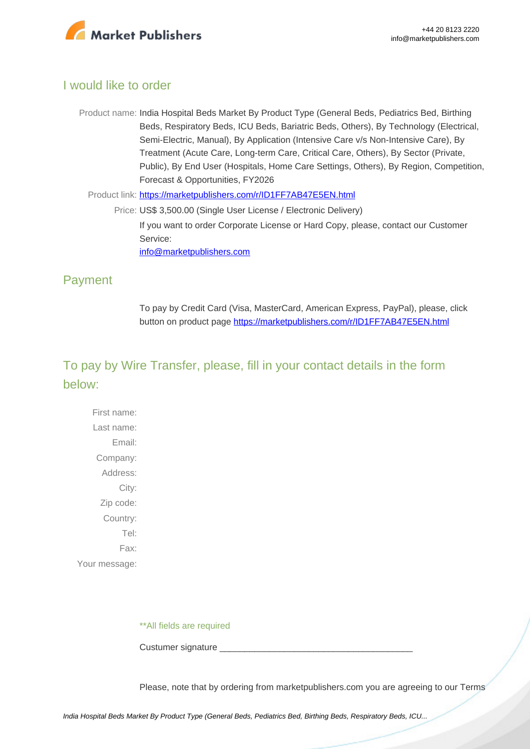

# I would like to order

Product name: India Hospital Beds Market By Product Type (General Beds, Pediatrics Bed, Birthing Beds, Respiratory Beds, ICU Beds, Bariatric Beds, Others), By Technology (Electrical, Semi-Electric, Manual), By Application (Intensive Care v/s Non-Intensive Care), By Treatment (Acute Care, Long-term Care, Critical Care, Others), By Sector (Private, Public), By End User (Hospitals, Home Care Settings, Others), By Region, Competition, Forecast & Opportunities, FY2026

Product link: [https://marketpublishers.com/r/ID1FF7AB47E5EN.html](https://marketpublishers.com/report/healthcare/hospital/india-hospital-beds-market-by-product-type-by-technology-by-application-by-treatment-by-sector-by-end-user-by-region-competition-forecast-opportunities.html)

Price: US\$ 3,500.00 (Single User License / Electronic Delivery) If you want to order Corporate License or Hard Copy, please, contact our Customer Service: [info@marketpublishers.com](mailto:info@marketpublishers.com)

# Payment

To pay by Credit Card (Visa, MasterCard, American Express, PayPal), please, click button on product page [https://marketpublishers.com/r/ID1FF7AB47E5EN.html](https://marketpublishers.com/report/healthcare/hospital/india-hospital-beds-market-by-product-type-by-technology-by-application-by-treatment-by-sector-by-end-user-by-region-competition-forecast-opportunities.html)

# To pay by Wire Transfer, please, fill in your contact details in the form below:

First name: Last name: Email: Company: Address: City: Zip code: Country: Tel: Fax: Your message:

\*\*All fields are required

Custumer signature \_\_\_\_\_\_\_\_\_\_\_\_\_\_\_\_\_\_\_\_\_\_\_\_\_\_\_\_\_\_\_\_\_\_\_\_\_\_\_

Please, note that by ordering from marketpublishers.com you are agreeing to our Terms